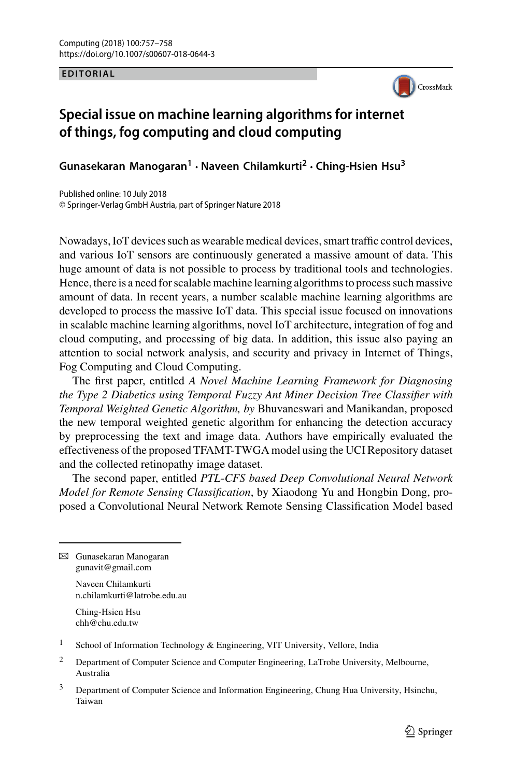## **EDITORIAL EDITORIAL**



## **Special issue on machine learning algorithms for internet of things, fog computing and cloud computing**

**Gunasekaran Manogaran<sup>1</sup> · Naveen Chilamkurti<sup>2</sup> · Ching-Hsien Hsu3**

Published online: 10 July 2018 © Springer-Verlag GmbH Austria, part of Springer Nature 2018

Nowadays, IoT devices such as wearable medical devices, smart traffic control devices, and various IoT sensors are continuously generated a massive amount of data. This huge amount of data is not possible to process by traditional tools and technologies. Hence, there is a need for scalable machine learning algorithms to process such massive amount of data. In recent years, a number scalable machine learning algorithms are developed to process the massive IoT data. This special issue focused on innovations in scalable machine learning algorithms, novel IoT architecture, integration of fog and cloud computing, and processing of big data. In addition, this issue also paying an attention to social network analysis, and security and privacy in Internet of Things, Fog Computing and Cloud Computing.

The first paper, entitled *A Novel Machine Learning Framework for Diagnosing the Type 2 Diabetics using Temporal Fuzzy Ant Miner Decision Tree Classifier with Temporal Weighted Genetic Algorithm, by* Bhuvaneswari and Manikandan, proposed the new temporal weighted genetic algorithm for enhancing the detection accuracy by preprocessing the text and image data. Authors have empirically evaluated the effectiveness of the proposed TFAMT-TWGA model using the UCI Repository dataset and the collected retinopathy image dataset.

The second paper, entitled *PTL*-*CFS based Deep Convolutional Neural Network Model for Remote Sensing Classification*, by Xiaodong Yu and Hongbin Dong, proposed a Convolutional Neural Network Remote Sensing Classification Model based

 $\boxtimes$  Gunasekaran Manogaran gunavit@gmail.com

> Naveen Chilamkurti n.chilamkurti@latrobe.edu.au

Ching-Hsien Hsu chh@chu.edu.tw

- <sup>1</sup> School of Information Technology & Engineering, VIT University, Vellore, India
- <sup>2</sup> Department of Computer Science and Computer Engineering, LaTrobe University, Melbourne, Australia
- <sup>3</sup> Department of Computer Science and Information Engineering, Chung Hua University, Hsinchu, Taiwan